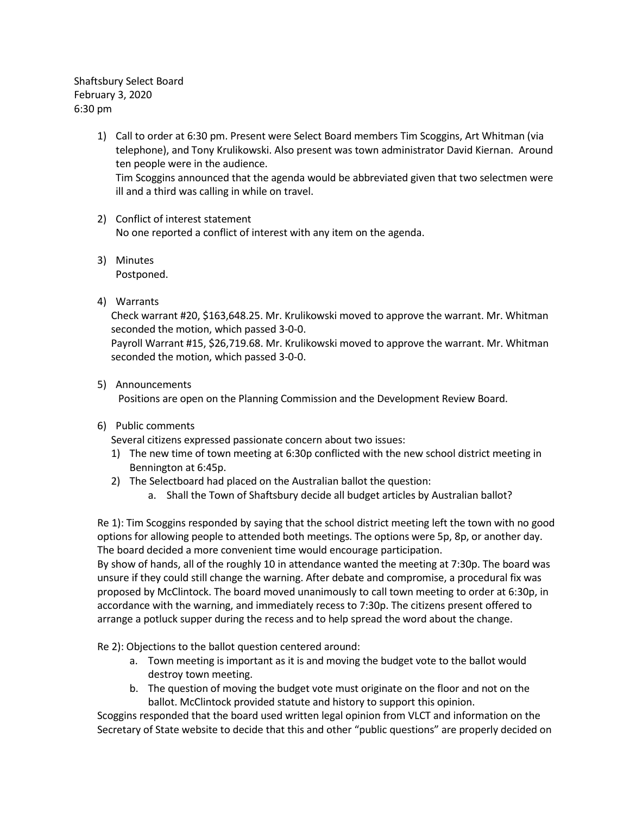Shaftsbury Select Board February 3, 2020 6:30 pm

- 1) Call to order at 6:30 pm. Present were Select Board members Tim Scoggins, Art Whitman (via telephone), and Tony Krulikowski. Also present was town administrator David Kiernan. Around ten people were in the audience. Tim Scoggins announced that the agenda would be abbreviated given that two selectmen were ill and a third was calling in while on travel.
- 2) Conflict of interest statement No one reported a conflict of interest with any item on the agenda.
- 3) Minutes Postponed.
- 4) Warrants

Check warrant #20, \$163,648.25. Mr. Krulikowski moved to approve the warrant. Mr. Whitman seconded the motion, which passed 3-0-0.

Payroll Warrant #15, \$26,719.68. Mr. Krulikowski moved to approve the warrant. Mr. Whitman seconded the motion, which passed 3-0-0.

5) Announcements

Positions are open on the Planning Commission and the Development Review Board.

6) Public comments

Several citizens expressed passionate concern about two issues:

- 1) The new time of town meeting at 6:30p conflicted with the new school district meeting in Bennington at 6:45p.
- 2) The Selectboard had placed on the Australian ballot the question:
	- a. Shall the Town of Shaftsbury decide all budget articles by Australian ballot?

Re 1): Tim Scoggins responded by saying that the school district meeting left the town with no good options for allowing people to attended both meetings. The options were 5p, 8p, or another day. The board decided a more convenient time would encourage participation.

By show of hands, all of the roughly 10 in attendance wanted the meeting at 7:30p. The board was unsure if they could still change the warning. After debate and compromise, a procedural fix was proposed by McClintock. The board moved unanimously to call town meeting to order at 6:30p, in accordance with the warning, and immediately recess to 7:30p. The citizens present offered to arrange a potluck supper during the recess and to help spread the word about the change.

Re 2): Objections to the ballot question centered around:

- a. Town meeting is important as it is and moving the budget vote to the ballot would destroy town meeting.
- b. The question of moving the budget vote must originate on the floor and not on the ballot. McClintock provided statute and history to support this opinion.

Scoggins responded that the board used written legal opinion from VLCT and information on the Secretary of State website to decide that this and other "public questions" are properly decided on